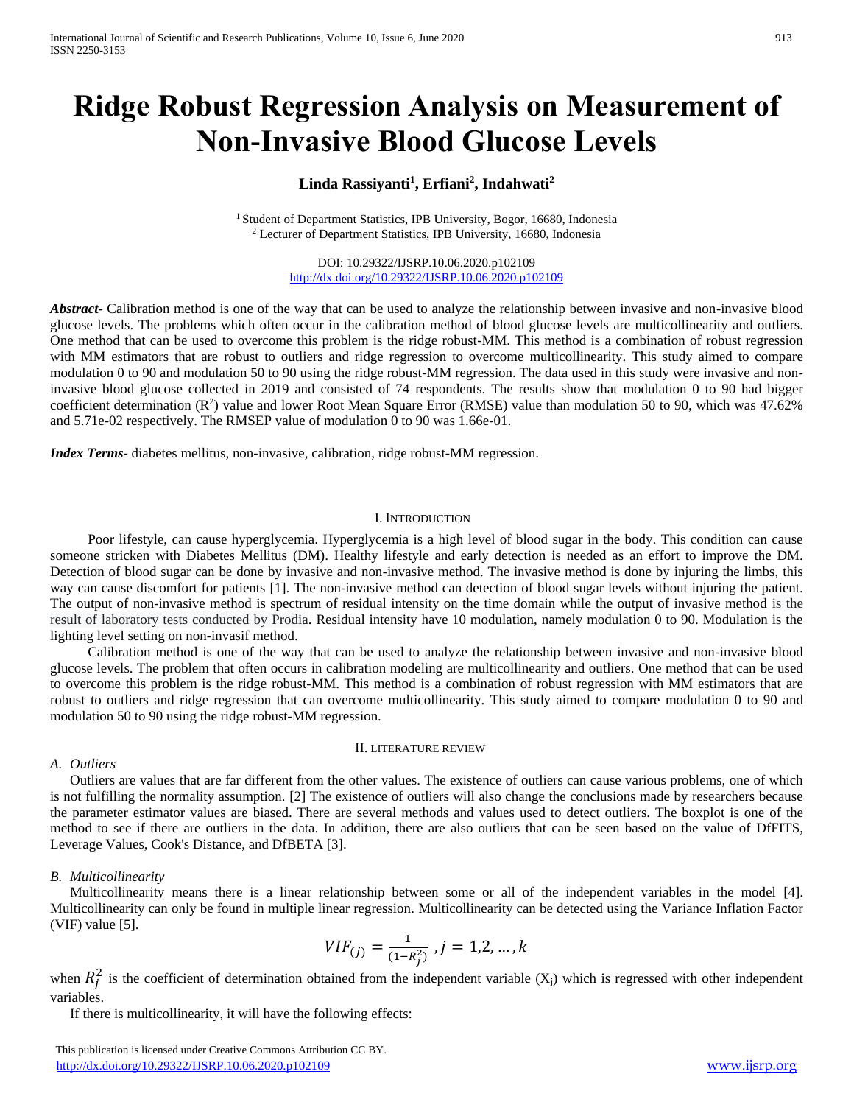# **Ridge Robust Regression Analysis on Measurement of Non-Invasive Blood Glucose Levels**

# **Linda Rassiyanti<sup>1</sup> , Erfiani<sup>2</sup> , Indahwati<sup>2</sup>**

<sup>1</sup> Student of Department Statistics, IPB University, Bogor, 16680, Indonesia <sup>2</sup> Lecturer of Department Statistics, IPB University, 16680, Indonesia

> DOI: 10.29322/IJSRP.10.06.2020.p102109 <http://dx.doi.org/10.29322/IJSRP.10.06.2020.p102109>

*Abstract***-** Calibration method is one of the way that can be used to analyze the relationship between invasive and non-invasive blood glucose levels. The problems which often occur in the calibration method of blood glucose levels are multicollinearity and outliers. One method that can be used to overcome this problem is the ridge robust-MM. This method is a combination of robust regression with MM estimators that are robust to outliers and ridge regression to overcome multicollinearity. This study aimed to compare modulation 0 to 90 and modulation 50 to 90 using the ridge robust-MM regression. The data used in this study were invasive and noninvasive blood glucose collected in 2019 and consisted of 74 respondents. The results show that modulation 0 to 90 had bigger coefficient determination  $(R^2)$  value and lower Root Mean Square Error (RMSE) value than modulation 50 to 90, which was 47.62% and 5.71e-02 respectively. The RMSEP value of modulation 0 to 90 was 1.66e-01.

*Index Terms*- diabetes mellitus, non-invasive, calibration, ridge robust-MM regression.

## I. INTRODUCTION

Poor lifestyle, can cause hyperglycemia. Hyperglycemia is a high level of blood sugar in the body. This condition can cause someone stricken with Diabetes Mellitus (DM). Healthy lifestyle and early detection is needed as an effort to improve the DM. Detection of blood sugar can be done by invasive and non-invasive method. The invasive method is done by injuring the limbs, this way can cause discomfort for patients [1]. The non-invasive method can detection of blood sugar levels without injuring the patient. The output of non-invasive method is spectrum of residual intensity on the time domain while the output of invasive method is the result of laboratory tests conducted by Prodia. Residual intensity have 10 modulation, namely modulation 0 to 90. Modulation is the lighting level setting on non-invasif method.

Calibration method is one of the way that can be used to analyze the relationship between invasive and non-invasive blood glucose levels. The problem that often occurs in calibration modeling are multicollinearity and outliers. One method that can be used to overcome this problem is the ridge robust-MM. This method is a combination of robust regression with MM estimators that are robust to outliers and ridge regression that can overcome multicollinearity. This study aimed to compare modulation 0 to 90 and modulation 50 to 90 using the ridge robust-MM regression.

#### II. LITERATURE REVIEW

#### *A. Outliers*

Outliers are values that are far different from the other values. The existence of outliers can cause various problems, one of which is not fulfilling the normality assumption. [2] The existence of outliers will also change the conclusions made by researchers because the parameter estimator values are biased. There are several methods and values used to detect outliers. The boxplot is one of the method to see if there are outliers in the data. In addition, there are also outliers that can be seen based on the value of DfFITS, Leverage Values, Cook's Distance, and DfBETA [3].

#### *B. Multicollinearity*

Multicollinearity means there is a linear relationship between some or all of the independent variables in the model [4]. Multicollinearity can only be found in multiple linear regression. Multicollinearity can be detected using the Variance Inflation Factor (VIF) value [5].

$$
VIF_{(j)} = \frac{1}{(1 - R_j^2)}, j = 1, 2, ..., k
$$

when  $R_j^2$  is the coefficient of determination obtained from the independent variable  $(X_j)$  which is regressed with other independent variables.

If there is multicollinearity, it will have the following effects: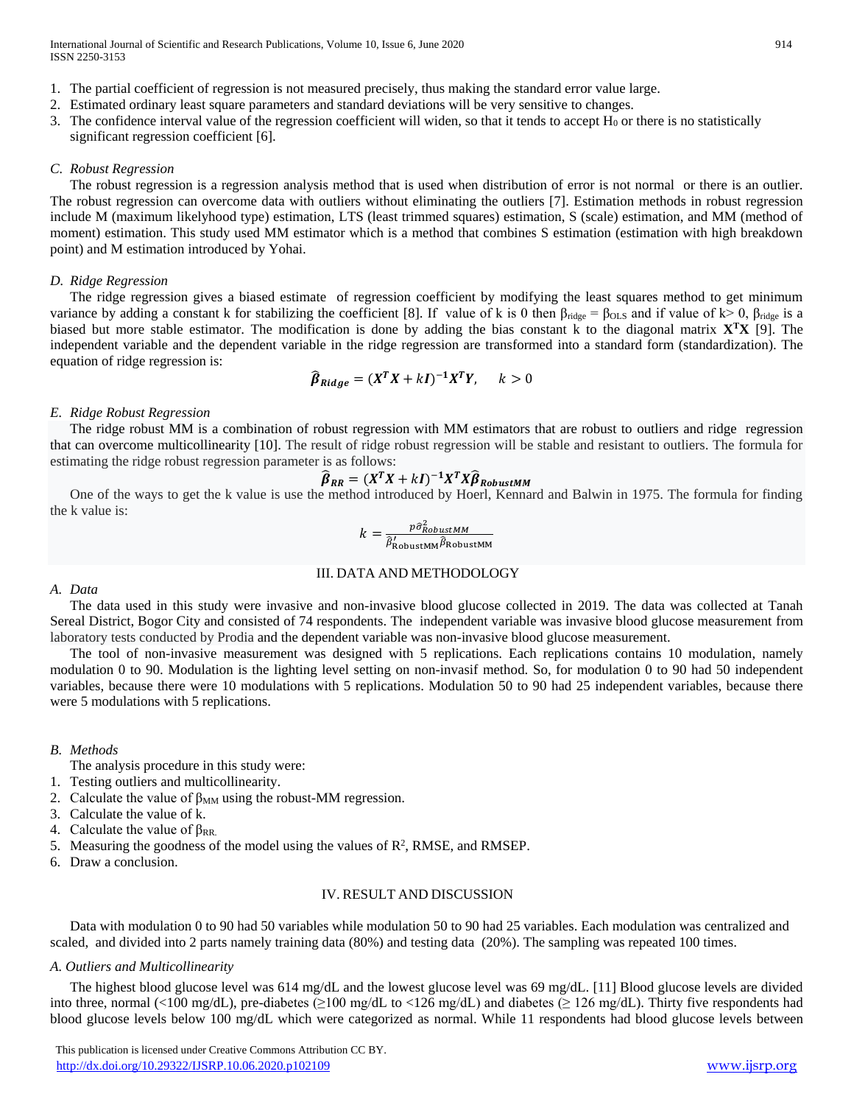International Journal of Scientific and Research Publications, Volume 10, Issue 6, June 2020 914 ISSN 2250-3153

- 1. The partial coefficient of regression is not measured precisely, thus making the standard error value large.
- 2. Estimated ordinary least square parameters and standard deviations will be very sensitive to changes.
- 3. The confidence interval value of the regression coefficient will widen, so that it tends to accept  $H_0$  or there is no statistically significant regression coefficient [6].

## *C. Robust Regression*

The robust regression is a regression analysis method that is used when distribution of error is not normal or there is an outlier. The robust regression can overcome data with outliers without eliminating the outliers [7]. Estimation methods in robust regression include M (maximum likelyhood type) estimation, LTS (least trimmed squares) estimation, S (scale) estimation, and MM (method of moment) estimation. This study used MM estimator which is a method that combines S estimation (estimation with high breakdown point) and M estimation introduced by Yohai.

## *D. Ridge Regression*

The ridge regression gives a biased estimate of regression coefficient by modifying the least squares method to get minimum variance by adding a constant k for stabilizing the coefficient [8]. If value of k is 0 then  $β_{ridge} = β_{OLS}$  and if value of k> 0,  $β_{ridge}$  is a biased but more stable estimator. The modification is done by adding the bias constant k to the diagonal matrix **X<sup>T</sup>X** [9]. The independent variable and the dependent variable in the ridge regression are transformed into a standard form (standardization). The equation of ridge regression is:

$$
\widehat{\beta}_{Ridge} = (X^T X + kI)^{-1} X^T Y, \quad k > 0
$$

## *E. Ridge Robust Regression*

The ridge robust MM is a combination of robust regression with MM estimators that are robust to outliers and ridge regression that can overcome multicollinearity [10]. The result of ridge robust regression will be stable and resistant to outliers. The formula for estimating the ridge robust regression parameter is as follows:

$$
\widehat{\beta}_{RR} = (X^T X + kI)^{-1} X^T X \widehat{\beta}_{RobustMM}
$$

One of the ways to get the k value is use the method introduced by Hoerl, Kennard and Balwin in 1975. The formula for finding the k value is:

$$
k = \frac{p\hat{\sigma}_{RobustMM}^2}{\hat{\beta}_{RobustMM}'\hat{\beta}_{RobustMM}}
$$

## III. DATA AND METHODOLOGY

## *A. Data*

The data used in this study were invasive and non-invasive blood glucose collected in 2019. The data was collected at Tanah Sereal District, Bogor City and consisted of 74 respondents. The independent variable was invasive blood glucose measurement from laboratory tests conducted by Prodia and the dependent variable was non-invasive blood glucose measurement.

The tool of non-invasive measurement was designed with 5 replications. Each replications contains 10 modulation, namely modulation 0 to 90. Modulation is the lighting level setting on non-invasif method. So, for modulation 0 to 90 had 50 independent variables, because there were 10 modulations with 5 replications. Modulation 50 to 90 had 25 independent variables, because there were 5 modulations with 5 replications.

## *B. Methods*

The analysis procedure in this study were:

- 1. Testing outliers and multicollinearity.
- 2. Calculate the value of  $\beta_{MM}$  using the robust-MM regression.
- 3. Calculate the value of k.
- 4. Calculate the value of  $\beta_{RR}$ .
- 5. Measuring the goodness of the model using the values of  $R^2$ , RMSE, and RMSEP.
- 6. Draw a conclusion.

# IV. RESULT AND DISCUSSION

Data with modulation 0 to 90 had 50 variables while modulation 50 to 90 had 25 variables. Each modulation was centralized and scaled, and divided into 2 parts namely training data (80%) and testing data (20%). The sampling was repeated 100 times.

# *A. Outliers and Multicollinearity*

The highest blood glucose level was 614 mg/dL and the lowest glucose level was 69 mg/dL. [11] Blood glucose levels are divided into three, normal (<100 mg/dL), pre-diabetes ( $\geq$ 100 mg/dL to <126 mg/dL) and diabetes ( $\geq$  126 mg/dL). Thirty five respondents had blood glucose levels below 100 mg/dL which were categorized as normal. While 11 respondents had blood glucose levels between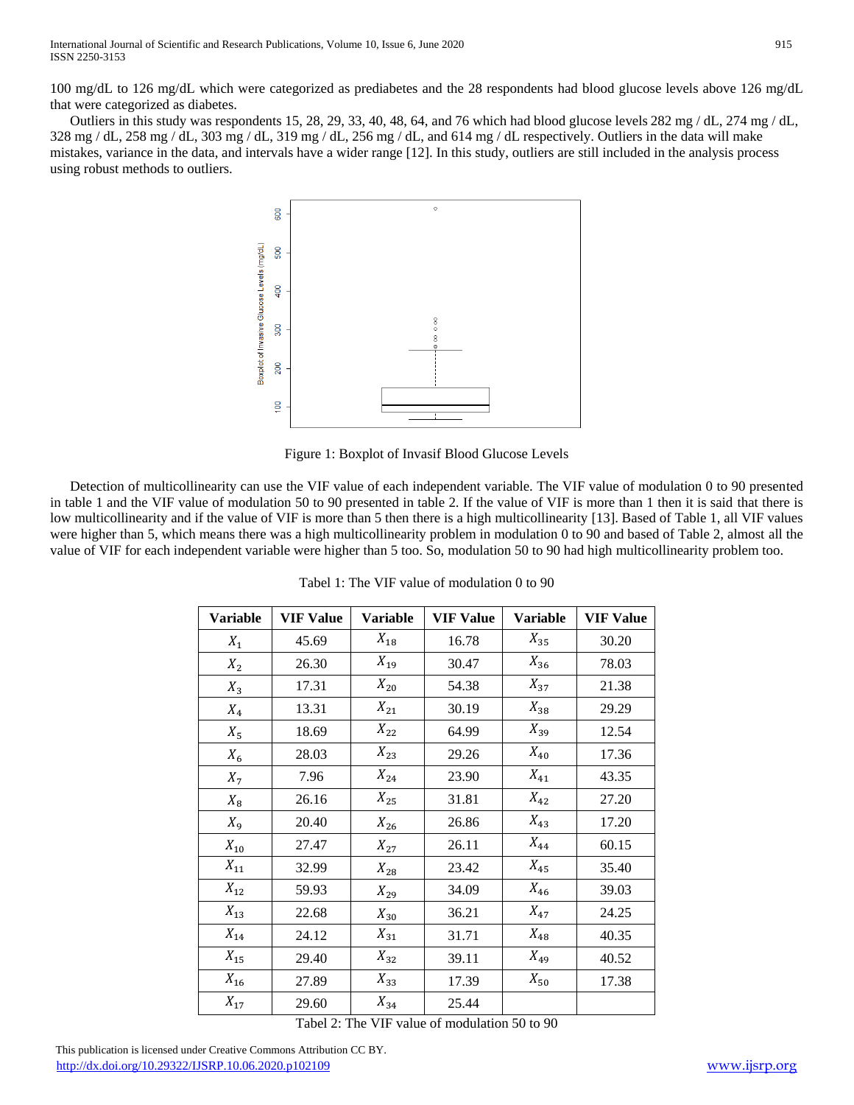100 mg/dL to 126 mg/dL which were categorized as prediabetes and the 28 respondents had blood glucose levels above 126 mg/dL that were categorized as diabetes.

Outliers in this study was respondents 15, 28, 29, 33, 40, 48, 64, and 76 which had blood glucose levels 282 mg / dL, 274 mg / dL, 328 mg / dL, 258 mg / dL, 303 mg / dL, 319 mg / dL, 256 mg / dL, and 614 mg / dL respectively. Outliers in the data will make mistakes, variance in the data, and intervals have a wider range [12]. In this study, outliers are still included in the analysis process using robust methods to outliers.



Figure 1: Boxplot of Invasif Blood Glucose Levels

Detection of multicollinearity can use the VIF value of each independent variable. The VIF value of modulation 0 to 90 presented in table 1 and the VIF value of modulation 50 to 90 presented in table 2. If the value of VIF is more than 1 then it is said that there is low multicollinearity and if the value of VIF is more than 5 then there is a high multicollinearity [13]. Based of Table 1, all VIF values were higher than 5, which means there was a high multicollinearity problem in modulation 0 to 90 and based of Table 2, almost all the value of VIF for each independent variable were higher than 5 too. So, modulation 50 to 90 had high multicollinearity problem too.

| <b>Variable</b> | <b>VIF Value</b> | Variable | <b>VIF Value</b> | <b>Variable</b> | <b>VIF Value</b> |
|-----------------|------------------|----------|------------------|-----------------|------------------|
| $X_1$           | 45.69            | $X_{18}$ | 16.78            | $X_{35}$        | 30.20            |
| $X_2$           | 26.30            | $X_{19}$ | 30.47            | $X_{36}$        | 78.03            |
| $X_3$           | 17.31            | $X_{20}$ | 54.38            | $X_{37}$        | 21.38            |
| $X_4$           | 13.31            | $X_{21}$ | 30.19            | $X_{38}$        | 29.29            |
| $X_5$           | 18.69            | $X_{22}$ | 64.99            | $X_{39}$        | 12.54            |
| $X_6$           | 28.03            | $X_{23}$ | 29.26            | $X_{40}$        | 17.36            |
| $X_7$           | 7.96             | $X_{24}$ | 23.90            | $X_{41}$        | 43.35            |
| $X_8$           | 26.16            | $X_{25}$ | 31.81            | $X_{42}$        | 27.20            |
| $X_9$           | 20.40            | $X_{26}$ | 26.86            | $X_{43}$        | 17.20            |
| $X_{10}$        | 27.47            | $X_{27}$ | 26.11            | $X_{44}$        | 60.15            |
| $X_{11}$        | 32.99            | $X_{28}$ | 23.42            | $X_{45}$        | 35.40            |
| $X_{12}$        | 59.93            | $X_{29}$ | 34.09            | $X_{46}$        | 39.03            |
| $X_{13}$        | 22.68            | $X_{30}$ | 36.21            | $X_{47}$        | 24.25            |
| $X_{14}$        | 24.12            | $X_{31}$ | 31.71            | $X_{48}$        | 40.35            |
| $X_{15}$        | 29.40            | $X_{32}$ | 39.11            | $X_{49}$        | 40.52            |
| $X_{16}$        | 27.89            | $X_{33}$ | 17.39            | $X_{50}$        | 17.38            |
| $X_{17}$        | 29.60            | $X_{34}$ | 25.44            |                 |                  |

Tabel 1: The VIF value of modulation 0 to 90

Tabel 2: The VIF value of modulation 50 to 90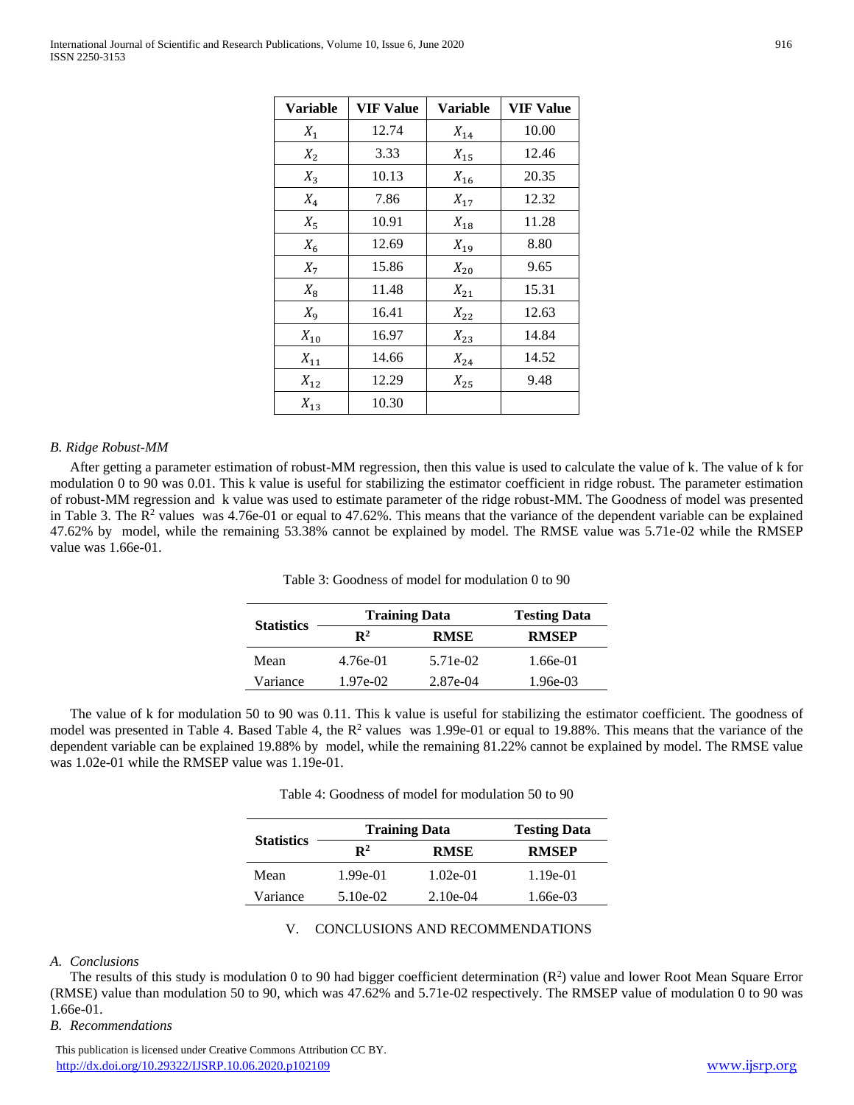| Variable | <b>VIF Value</b> | Variable | <b>VIF Value</b> |
|----------|------------------|----------|------------------|
| $X_1$    | 12.74            | $X_{14}$ | 10.00            |
| $X_2$    | 3.33             | $X_{15}$ | 12.46            |
| $X_3$    | 10.13            | $X_{16}$ | 20.35            |
| $X_4$    | 7.86             | $X_{17}$ | 12.32            |
| $X_5$    | 10.91            | $X_{18}$ | 11.28            |
| $X_6$    | 12.69            | $X_{19}$ | 8.80             |
| $X_7$    | 15.86            | $X_{20}$ | 9.65             |
| $X_{8}$  | 11.48            | $X_{21}$ | 15.31            |
| $X_{9}$  | 16.41            | $X_{22}$ | 12.63            |
| $X_{10}$ | 16.97            | $X_{23}$ | 14.84            |
| $X_{11}$ | 14.66            | $X_{24}$ | 14.52            |
| $X_{12}$ | 12.29            | $X_{25}$ | 9.48             |
| $X_{13}$ | 10.30            |          |                  |

## *B. Ridge Robust-MM*

After getting a parameter estimation of robust-MM regression, then this value is used to calculate the value of k. The value of k for modulation 0 to 90 was 0.01. This k value is useful for stabilizing the estimator coefficient in ridge robust. The parameter estimation of robust-MM regression and k value was used to estimate parameter of the ridge robust-MM. The Goodness of model was presented in Table 3. The  $\mathbb{R}^2$  values was 4.76e-01 or equal to 47.62%. This means that the variance of the dependent variable can be explained 47.62% by model, while the remaining 53.38% cannot be explained by model. The RMSE value was 5.71e-02 while the RMSEP value was 1.66e-01.

|                   | <b>Training Data</b> | <b>Testing Data</b> |              |
|-------------------|----------------------|---------------------|--------------|
| <b>Statistics</b> | $\mathbf{R}^2$       | <b>RMSE</b>         | <b>RMSEP</b> |
| Mean              | 4.76e-01             | 5.71e-02            | 1.66e-01     |
| Variance          | 1.97e-02             | 2.87e-04            | 1.96e-03     |

Table 3: Goodness of model for modulation 0 to 90

The value of k for modulation 50 to 90 was 0.11. This k value is useful for stabilizing the estimator coefficient. The goodness of model was presented in Table 4. Based Table 4, the  $R^2$  values was 1.99e-01 or equal to 19.88%. This means that the variance of the dependent variable can be explained 19.88% by model, while the remaining 81.22% cannot be explained by model. The RMSE value was 1.02e-01 while the RMSEP value was 1.19e-01.

Table 4: Goodness of model for modulation 50 to 90

|                   | <b>Training Data</b> | <b>Testing Data</b> |              |
|-------------------|----------------------|---------------------|--------------|
| <b>Statistics</b> | $\mathbf{R}^2$       | <b>RMSE</b>         | <b>RMSEP</b> |
| Mean              | $1.99e-01$           | $1.02e-01$          | $1.19e-01$   |
| Variance          | $5.10e-02$           | $2.10e-04$          | 1.66e-03     |

## V. CONCLUSIONS AND RECOMMENDATIONS

#### *A. Conclusions*

The results of this study is modulation 0 to 90 had bigger coefficient determination  $(R^2)$  value and lower Root Mean Square Error (RMSE) value than modulation 50 to 90, which was 47.62% and 5.71e-02 respectively. The RMSEP value of modulation 0 to 90 was 1.66e-01.

*B. Recommendations*

 This publication is licensed under Creative Commons Attribution CC BY. <http://dx.doi.org/10.29322/IJSRP.10.06.2020.p102109> [www.ijsrp.org](http://ijsrp.org/)